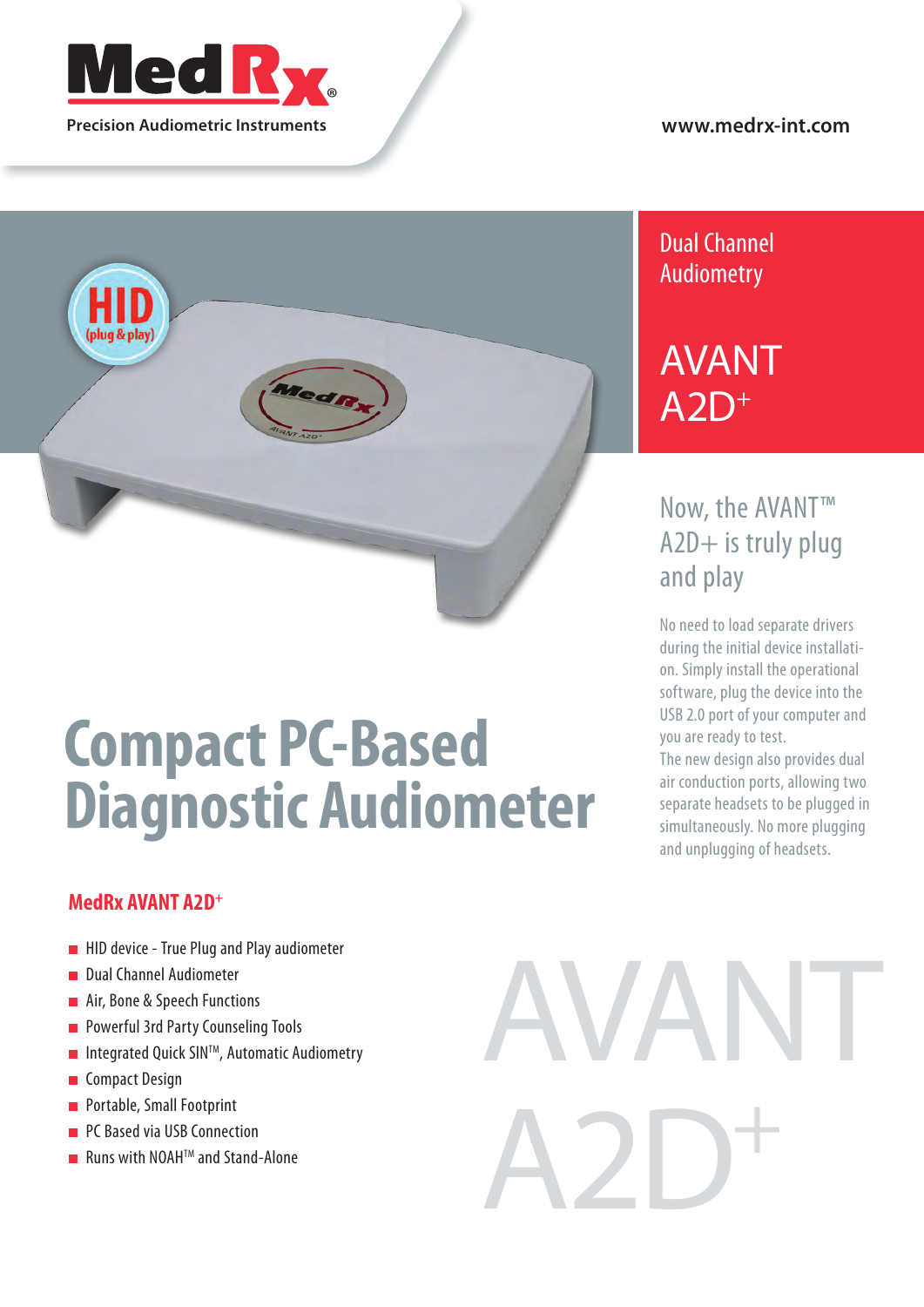

## **www.medrx-int.com**



# **Compact PC-Based Diagnostic Audiometer**

# **MedRx AVANT A2D+**

- **HID device True Plug and Play audiometer**
- Dual Channel Audiometer  $\blacksquare$
- Air, Bone & Speech Functions
- Powerful 3rd Party Counseling Tools Ė
- Integrated Quick SINTM, Automatic Audiometry  $\blacksquare$
- Compact Design Ė
- **Portable, Small Footprint**
- PC Based via USB Connection Ē.
- **Runs with NOAH**<sup>IM</sup> and Stand-Alone

# AVANT A2D+

# Dual Channel Audiometry

# AVANT  $A2D<sup>+</sup>$

# Now, the AVANT™ A2D+ is truly plug and play

No need to load separate drivers during the initial device installation. Simply install the operational software, plug the device into the USB 2.0 port of your computer and you are ready to test.

The new design also provides dual air conduction ports, allowing two separate headsets to be plugged in simultaneously. No more plugging and unplugging of headsets.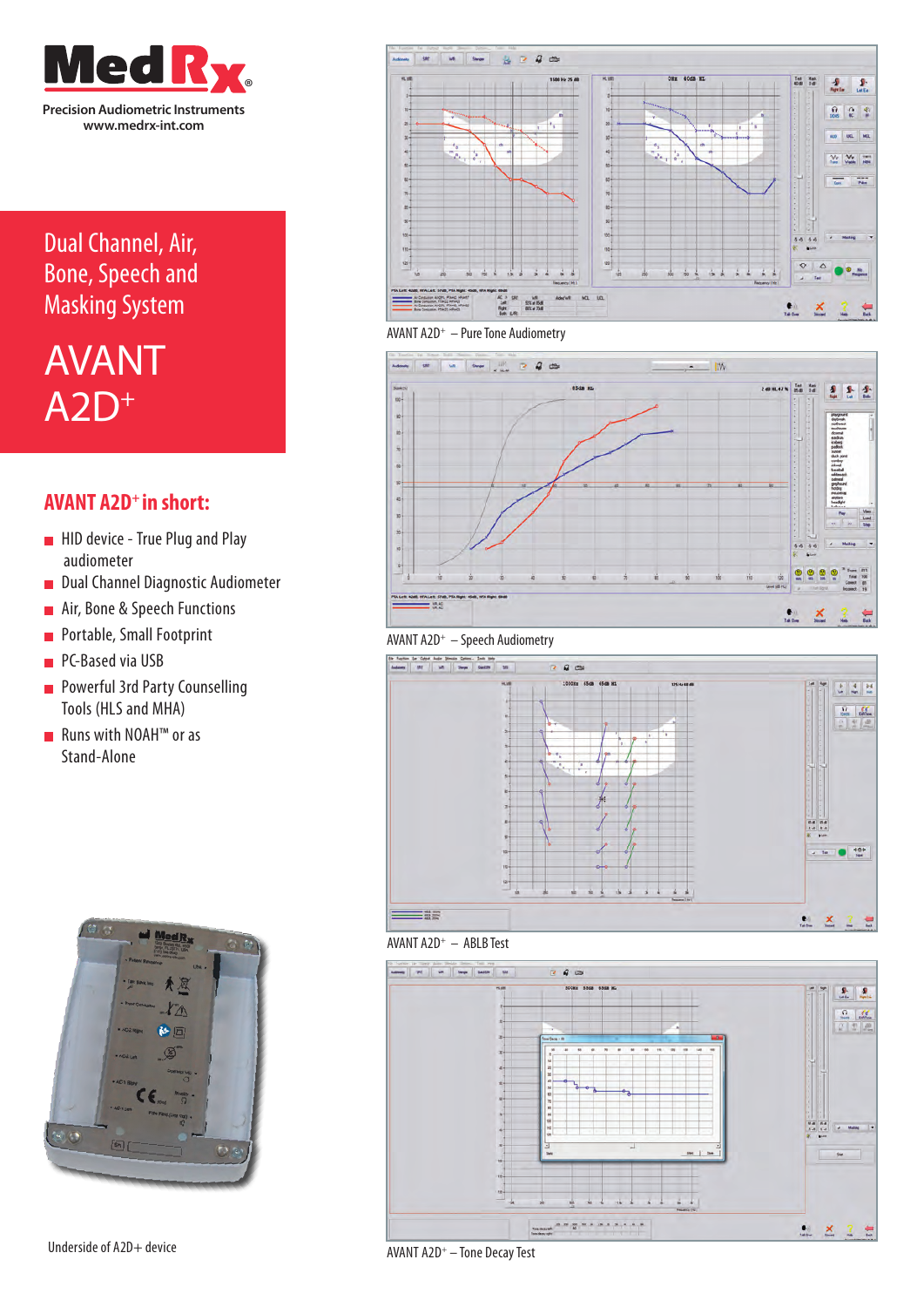

# Dual Channel, Air, Bone, Speech and Masking System

# AVANT  $A2D<sup>+</sup>$

# **AVANT A2D+ in short:**

- **HID device True Plug and Play** audiometer
- Dual Channel Diagnostic Audiometer
- Air, Bone & Speech Functions Ē
- **Portable, Small Footprint**
- PC-Based via USB
- **Powerful 3rd Party Counselling** Tools (HLS and MHA)
- Runs with NOAH™ or as Stand-Alone













#### AVANT A2D+ – ABLB Test



Underside of A2D+ device

AVANT A2D+ – Tone Decay Test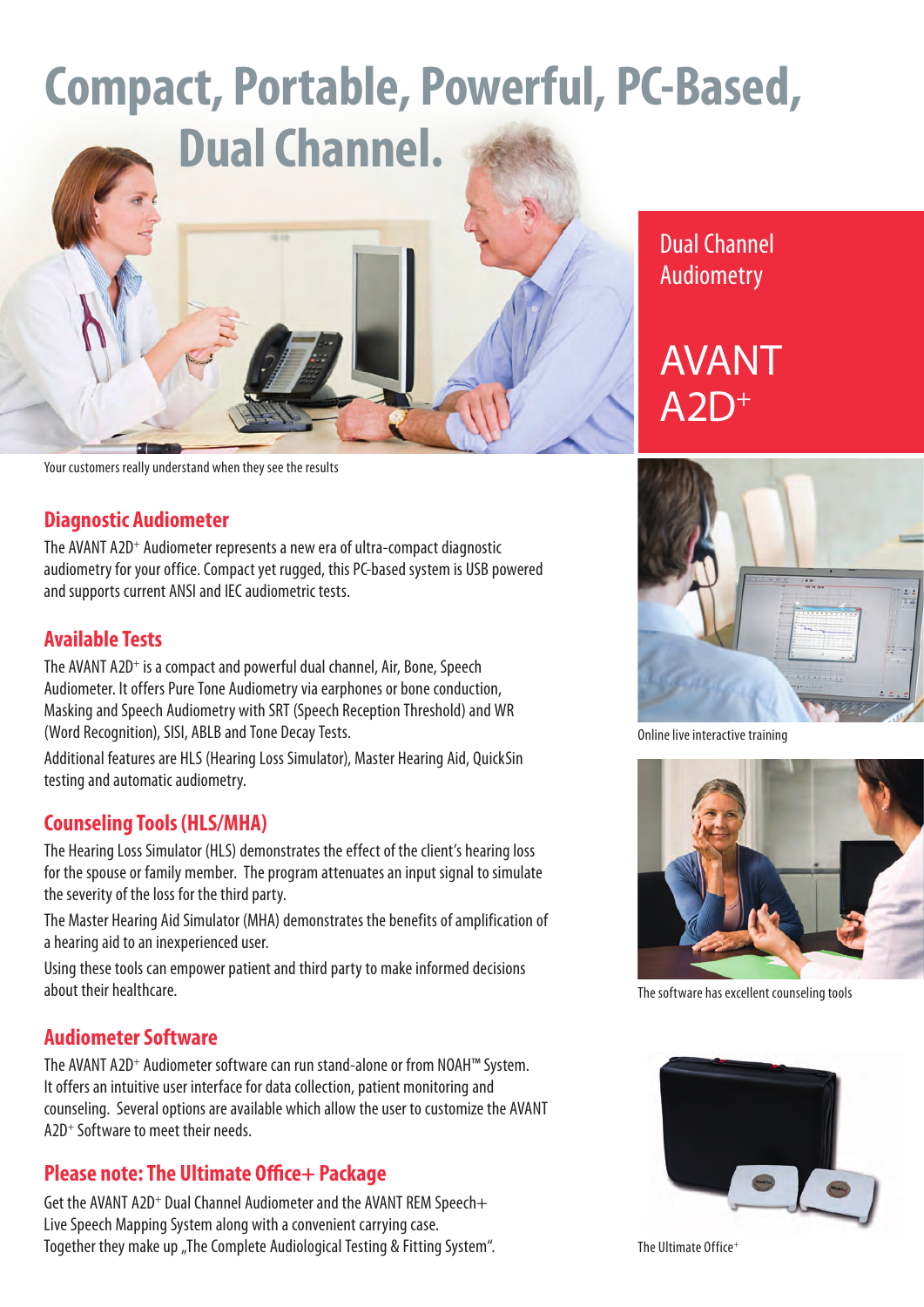# **Compact, Portable, Powerful, PC-Based,**



Your customers really understand when they see the results

## **Diagnostic Audiometer**

The AVANT A2D<sup>+</sup> Audiometer represents a new era of ultra-compact diagnostic audiometry for your office. Compact yet rugged, this PC-based system is USB powered and supports current ANSI and IEC audiometric tests.

# **Available Tests**

The AVANT A2D<sup>+</sup> is a compact and powerful dual channel, Air, Bone, Speech Audiometer. It offers Pure Tone Audiometry via earphones or bone conduction, Masking and Speech Audiometry with SRT (Speech Reception Threshold) and WR (Word Recognition), SISI, ABLB and Tone Decay Tests.

Additional features are HLS (Hearing Loss Simulator), Master Hearing Aid, QuickSin testing and automatic audiometry.

# **Counseling Tools (HLS/MHA)**

The Hearing Loss Simulator (HLS) demonstrates the effect of the client's hearing loss for the spouse or family member. The program attenuates an input signal to simulate the severity of the loss for the third party.

The Master Hearing Aid Simulator (MHA) demonstrates the benefits of amplification of a hearing aid to an inexperienced user.

Using these tools can empower patient and third party to make informed decisions about their healthcare.

# **Audiometer Software**

The AVANT A2D<sup>+</sup> Audiometer software can run stand-alone or from NOAH<sup>™</sup> System. It offers an intuitive user interface for data collection, patient monitoring and counseling. Several options are available which allow the user to customize the AVANT A2D<sup>+</sup> Software to meet their needs.

# **Please note: The Ultimate Office+ Package**

Get the AVANT A2D<sup>+</sup> Dual Channel Audiometer and the AVANT REM Speech+ Live Speech Mapping System along with a convenient carrying case. Together they make up "The Complete Audiological Testing & Fitting System".

# Dual Channel Audiometry

# AVANT  $AD^+$



Online live interactive training



The software has excellent counseling tools



The Ultimate Office<sup>+</sup>